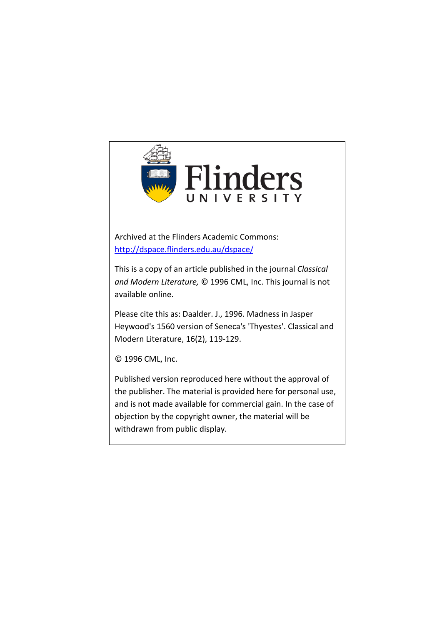

Archived at the Flinders Academic Commons: <http://dspace.flinders.edu.au/dspace/>

This is a copy of an article published in the journal *Classical and Modern Literature,* © 1996 CML, Inc. This journal is not available online.

Please cite this as: Daalder. J., 1996. Madness in Jasper Heywood's 1560 version of Seneca's 'Thyestes'. Classical and Modern Literature, 16(2), 119-129.

© 1996 CML, Inc.

Published version reproduced here without the approval of the publisher. The material is provided here for personal use, and is not made available for commercial gain. In the case of objection by the copyright owner, the material will be withdrawn from public display.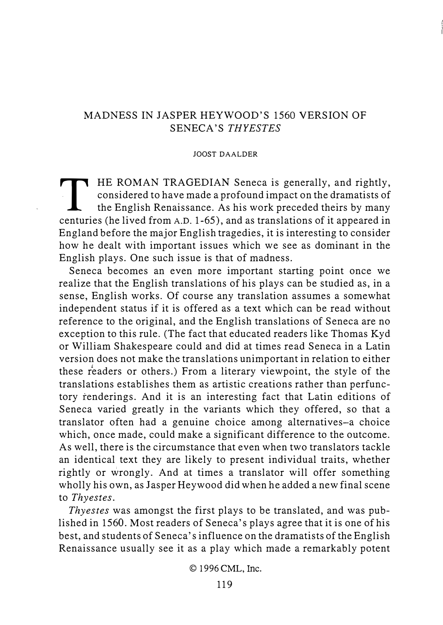## MADNESS IN JASPER HEYWOOD'S 1560 VERSION OF SENECA'S THYESTES

## JOOST DAALDER

THE ROMAN TRAGEDIAN Seneca is generally, and rightly,<br>considered to have made a profound impact on the dramatists of<br>the English Renaissance. As his work preceded theirs by many considered to have made a profound impact on the dramatists of the English Renaissance. As his work preceded theirs by many centuries (he lived from A.D. 1-65), and as translations of it appeared in England before the major English tragedies, it is interesting to consider how he dealt with important issues which we see as dominant in the English plays. One such issue is that of madness.

Seneca becomes an even more important starting point once we realize that the English translations of his plays can be studied as, in a sense, English works. Of course any translation assumes a somewhat independent status if it is offered as a text which can be read without reference to the original, and the English translations of Seneca are no exception to this rule. (The fact that educated readers like Thomas Kyd or William Shakespeare could and did at times read Seneca in a Latin version does not make the translations unimportant in relation to either these readers or others.) From a literary viewpoint, the style of the translations establishes them as artistic creations rather than perfunctory renderings. And it is an interesting fact that Latin editions of Seneca varied greatly in the variants which they offered, so that a translator often had a genuine choice among alternatives-a choice which, once made, could make a significant difference to the outcome. As well, there is the circumstance that even when two translators tackle an identical text they are likely to present individual traits, whether rightly or wrongly. And at times a translator will offer something wholly his own, as Jasper Heywood did when he added a new final scene to Thyestes.

Thyestes was amongst the first plays to be translated, and was published in 1560. Most readers of Seneca's plays agree that it is one of his best, and students of Seneca's influence on the dramatists of the English Renaissance usually see it as a play which made a remarkably potent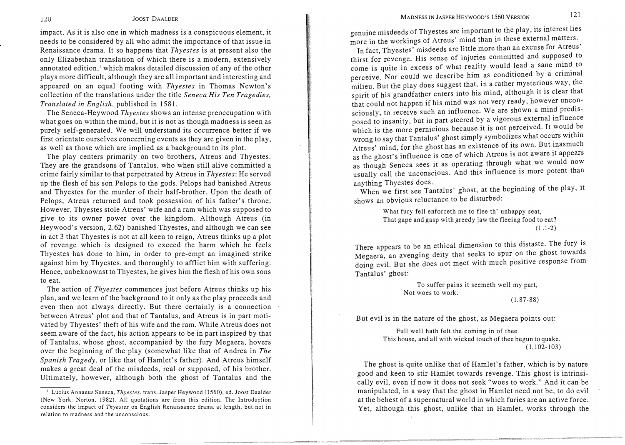impact. As it is also one in which madness is a conspicuous element, it needs to be considered by all who admit the importance of that issue in Renaissance drama. It so happens that Thyestes is at present also the only Elizabethan translation of which there is a modern, extensively annotated edition,<sup>1</sup> which makes detailed discussion of any of the other plays more difficult, although they are all important and interesting and appeared on an equal footing with Thyestes in Thomas Newton's collection of the translations under the title Seneca His Ten Tragedies, Translated in English, published in 1581.

The Seneca-Heywood Thyestes shows an intense preoccupation with what goes on within the mind, but it is not as though madness is seen as purely self-generated. We will understand its occurrence better if we first orientate ourselves concerning events as they are given in the play, as well as those which are implied as a background to its plot.

The play centers primarily on two brothers, Atreus and Thyestes. They are the grandsons of Tantalus, who when still alive committed a crime fairly similar to that perpetrated by Atreus in Thyestes: He served up the flesh of his son Pelops to the gods. Pelops had banished Atreus and Thyestes for the murder of their half-brother. Upon the death of Pelops, Atreus returned and took possession of his father's throne. However, Thyestes stole Atreus' wife and a ram which was supposed to give to its owner power over the kingdom. Although Atreus (in Heywood's version, 2.62) banished Thyestes, and although we can see in act 3 that Thyestes is not at all keen to reign, Atreus thinks up a plot of revenge which is designed to exceed the harm which he feels Thyestes has done to him, in order to pre-empt an imagined strike against him by Thyestes, and thoroughly to afflict him with suffering. Hence, unbeknownst to Thyestes, he gives him the flesh of his own sons to eat.

The action of Thyestes commences just before Atreus thinks up his plan, and we learn of the background to it only as the play proceeds and even then not always directly. But there certainly is a connection between Atreus' plot and that of Tantalus, and Atreus is in part motivated by Thyestes' theft of his wife and the ram. While Atreus does not seem aware of the fact, his action appears to be in part inspired by that of Tantalus, whose ghost, accompanied by the fury Megaera, hovers over the beginning of the play (somewhat like that of Andrea in The Spanish Tragedy, or like that of Hamlet's father). And Atreus himself makes a great deal of the misdeeds, real or supposed, of his brother. Ultimately, however, although both the ghost of Tantalus and the

genuine misdeeds of Thyestes are important to the play, its interest lies more in the workings of Atreus' mind than in these external matters.

In fact, Thyestes' misdeeds are little more than an excuse for Atreus' thirst for revenge. His sense of injuries committed and supposed to come is quite in excess of what reality would lead a sane mind to perceive. Nor could we describe him as conditioned by a criminal milieu. But the play does suggest that, in a rather mysterious way, the spirit of his grandfather enters into his mind, although it is clear that that could not happen if his mind was not very ready, however unconsciously, to receive such an influence. We are shown a mind predisposed to insanity, but in part steered by a vigorous external influence which is the more pernicious because it is not perceived. It would be wrong to say that Tantalus' ghost simply symbolizes what occurs within Atreus' mind, for the ghost has an existence of its own. But inasmuch as the ghost's influence is one of which Atreus is not aware it appears as though Seneca sees it as operating through what we would now usually call the unconscious. And this influence is more potent than anything Thyestes does.

. When we first see Tantalus' ghost, at the beginning of the play, it shows an obvious reluctance to be disturbed:

> What fury fell enforceth me to flee th' unhappy seat, That gape and gasp with greedy jaw the fleeing food to eat? (l.1-2)

There appears to be an ethical dimension to this distaste. The fury is Megaera, an avenging deity that seeks to spur on the ghost towards doing evil. But she does not meet with much positive response from Tantalus' ghost:

> To suffer pains it seemeth well my part, Not woes to work.  $(1.87 - 88)$

But evil is in the nature of the ghost, as Megaera points out:

Full well hath felt the coming in of thee This house, and all with wicked touch of thee begun to quake.  $(1.102 - 103)$ 

The ghost is quite unlike that of Hamlet's father, which is by nature good a�d keen to stir Hamlet towards revenge. This ghost is intrinsically evil, even if now it does not seek "woes to work." And it can b e \_ manipulated, in a way that the ghost in Hamlet need not be, �o do evil at the behest of a supernatural world in which furies are an active force. Yet, although this ghost, unlike that in Hamlet, works through the

 $120$ 

<sup>&</sup>lt;sup>1</sup> Lucius Annaeus Seneca, Thyestes, trans. Jasper Heywood (1560), ed. Joost Daalder (New York: Norton, 1982). All quotations are from this edition. The Introduction considers the impact of Thyestes on English Renaissance drama at length, but not in relation to madness and the unconscious.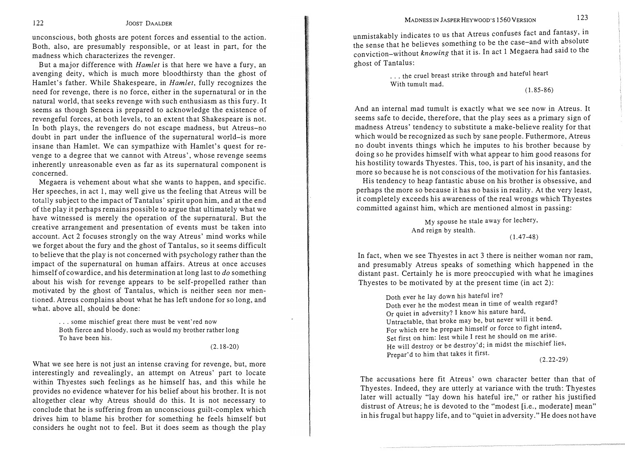unconscious, both ghosts are potent forces and essential to the action. Both, also, are presumably responsible, or at least in part, for the madness which characterizes the revenger.

But a major difference with Hamlet is that here we have a fury, an avenging deity, which is much more bloodthirsty than the ghost of Hamlet's father. While Shakespeare, in Hamlet, fully recognizes the need for revenge, there is no force, either in the supernatural or in the natural world, that seeks revenge with such enthusiasm as this fury. It seems as though Seneca is prepared to acknowledge the existence of revengeful forces, at both levels, to an extent that Shakespeare is not. In both plays, the revengers do not escape madness, but Atreus-no doubt in part under the influence of the supernatural world-is more insane than Hamlet. We can sympathize with Hamlet's quest for revenge to a degree that we cannot with Atreus', whose revenge seems inherently unreasonable even as far as its supernatural component is concerned.

Megaera is vehement about what she wants to happen, and specific. Her speeches, in act 1, may well give us the feeling that Atreus will be totally subject to the impact of Tantalus' spirit upon him, and at the end of the play it perhaps remains possible to argue that ultimately what we have witnessed is merely the operation of the supernatural. But the creative arrangement and presentation of events must be taken into account. Act 2 focuses strongly on the way Atreus' mind works while we forget about the fury and the ghost of Tantalus, so it seems difficult to believe that the play is not concerned with psychology rather than the impact of the supernatural on human affairs. Atreus at once accuses himself of cowardice, and his determination at long last to do something about his wish for revenge appears to be self-propelled rather than motivated by the ghost of Tantalus, which is neither seen nor mentioned. Atreus complains about what he has left undone for so long, and what. above all, should be done:

> ... some mischief great there must be vent'red now Both fierce and bloody, such as would my brother rather long To have been his.

> > (2.18-20)

What we see here is not just an intense craving for revenge, but, more interestingly and revealingly, an attempt on Atreus' part to locate within Thyestes such feelings as he himself has, and this while he provides no evidence whatever for his belief about his brother. It is not altogether clear why Atreus should do this. It is not necessary to conclude that he is suffering from an unconscious guilt-complex which drives him to blame his brother for something he feels himself but considers he ought not to feel. But it does seem as though the play

unmistakably indicates to us that Atreus confuses fact and fantasy, in the sense that he believes something to be the case-and with absolute conviction-without knowing that it is. In act 1 Megaera had said to the ghost of Tantalus:

> ... the cruel breast strike through and hateful heart With tumult mad. (1.85-86)

And .an internal mad tumult is exactly what we see now in Atreus. It seems safe to decide, therefore, that the play sees as a primary sign of madness Atreus' tendency to substitute a make-believe reality for that which would be recognized as such by sane people. Futhermore, Atreus no doubt invents things which he imputes to his brother because by doing so he provides himself with what appear to him good reasons for his hostility towards Thyestes. This, too, is part of his insanity, and the \_ more so because he is not conscious of the motivation for his fantasies.

His tendency to heap fantastic abuse on his brother is obsessive, and perhaps the more so because it has no basis in reality. At the very least, it completely exceeds his awareness of the real wrongs which Thyestes committed against him, which are mentioned almost in passing:

> My spouse he stale away for lechery, And reign by stealth. (1.47-48)

In fact, when we see Thyestes in act 3 there is neither woman nor ram, and presumably Atreus speaks of something which happened in the distant past. Certainly he is more preoccupied with what he imagines Thyestes to be motivated by at the present time (in act 2):

> Doth ever he lay down his hateful ire? Doth ever he the modest mean in time of wealth regard? Or quiet in adversity? I know his nature hard, Untractable, that broke may be, but never will it bend. For which ere he prepare himself or force to fight intend, Set first on him: lest while I rest he should on me arise. He will destroy or be destroy' d; in midst the mischief lies, Prepar'd to him that takes it first.

(2.22-29)

The accusations here fit Atreus' own character better than that of Thyestes. Indeed, they are utterly at variance with the truth: Thyestes later will actually "lay down his hateful ire," or rather his justified distrust of Atreus; he is devoted to the "modest [i.e., moderate] mean" in his frugal but happy life, and to "quiet in adversity." He does not have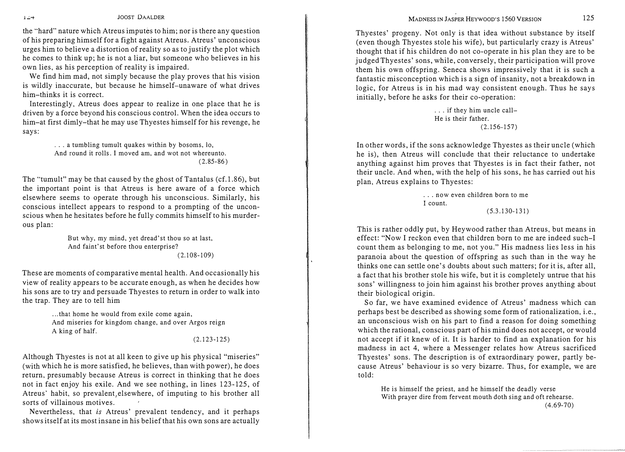JOOST DAALDER

the "hard" nature which Atreus imputes to him; nor is there any question of his preparing himself for a fight against Atreus. Atreus' unconscious urges him to believe a distortion of reality so as to justify the plot which he comes to think up; he is not a liar, but someone who believes in his own lies, as his perception of reality is impaired.

We find him mad, not simply because the play proves that his vision is wildly inaccurate, but because he himself-unaware of what drives him-thinks it is correct.

Interestingly, Atreus does appear to realize in one place that he is driven by a force beyond his conscious control. When the idea occurs to him-at first dimly-that he may use Thyestes himself for his revenge, he says:

> ... a tumbling tumult quakes within by bosoms, Jo, And round it rolls. I moved am, and wot not whereunto.  $(2.85 - 86)$

The "tumult" may be that caused by the ghost of Tantalus (cf.1.86), but the important point is that Atreus is here aware of a force which elsewhere seems to operate through his unconscious. Similarly, his conscious intellect appears to respond to a prompting of the unconscious when he hesitates before he fully commits himself to his murderous plan:

> But why, my mind, yet dread' st thou so at last, And faint'st before thou enterprise?  $(2.108 - 109)$

These are moments of comparative mental health. And occasionally his view of reality appears to be accurate enough, as when he decides how his sons are to try and persuade Thyestes to return in order to walk into the trap. They are to tell him

> ... that home he would from exile come again, And miseries for kingdom change, and over Argos reign A king of half.

## $(2.123 - 125)$

( '

Although Thyestes is not at all keen to give up his physical "miseries" (with which he is more satisfied, he believes, than with power), he does return, presumably because Atreus is correct in thinking that he does not in fact enjoy his exile. And we see nothing, in lines 123-125, of Atreus' habit, so prevalent, elsewhere, of imputing to his brother all sorts of villainous motives.

Nevertheless, that is Atreus' prevalent tendency, and it perhaps shows itself at its most insane in his belief that his own sons are actually

Thyestes' progeny. Not only is that idea without substance by itself (even though Thyestes stole his wife), but particularly crazy is Atreus' thought that if his children do not co-operate in his plan they are to be judged Thyestes' sons, while, conversely, their participation will prove them his own offspring. Seneca shows impressively that it is such a fantastic misconception which is a sign of insanity, not a breakdown in logic, for Atreus is in his mad way consistent enough. Thus he says initially, before he asks for their co-operation:

> ... if they him uncle call-He is their father.  $(2.156 - 157)$

In other words, if the sons acknowledge Thyestes as their uncle (which he is), then Atreus will conclude that their reluctance to undertake anything against him proves that Thyestes is in fact their father, not their uncle. And when, with the help of his sons, he has carried out his plan, Atreus explains to Thyestes:

> .. . now even children born to me I count.  $(5.3.130 - 131)$

This is rather oddly put, by Heywood rather than Atreus, but means in effect: "Now I reckon even that children born to me are indeed such-I count them as belonging to me, not you." His madness lies less in his paranoia about the question of offspring as such than in the way he thinks one can settle one's doubts about such matters; for it is, after all, a fact that his brother stole his wife, but it is completely untrue that his sons' willingness to join him against his brother proves anything about their biological origin.

So far, we have examined evidence of Atreus' madness which can perhaps best be described as showing some form of rationalization, i.e., an unconscious wish on his part to find a reason for doing something which the rational, conscious part of his mind does not accept, or would not accept if it knew of it. It is harder to find an explanation for his madness in act 4, where a Messenger relates how Atreus sacrificed Thyestes' sons. The description is of extraordinary power, partly because Atreus' behaviour is so very bizarre. Thus, for example, we are told:

He is himself the priest, and he himself the deadly verse With prayer dire from fervent mouth doth sing and oft rehearse.  $(4.69-70)$ 

 $1 - 4$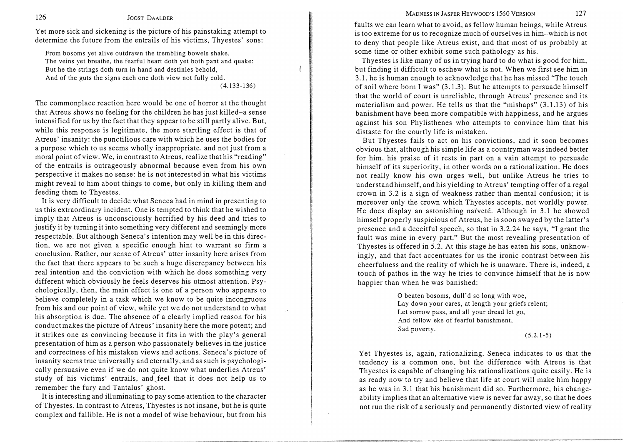MADNESS IN JASPER HEYWOOD'S 1560 VERSION 127

Yet more sick and sickening is the picture of his painstaking attempt to determine the future from the entrails of his victims, Thyestes' sons:

From bosoms yet alive outdrawn the trembling bowels shake, The veins yet breathe, the fearful heart doth yet both pant and quake: But he the strings doth turn in hand and destinies behold, And of the guts the signs each one doth view not fully cold.

(4.133-136)

The commonplace reaction here would be one of horror at the thought that Atreus shows no feeling for the children he has just killed-a sense intensified for us by the fact that they appear to be still partly alive. But, while this response is legitimate, the more startling effect is that of Atreus' insanity: the punctilious care with which he uses the bodies for a purpose which to us seems wholly inappropriate, and not just from a moral point of view. We, in contrast to Atreus, realize that his "reading" of the entrails is outrageously abnormal because even from his own perspective it makes no sense: he is not interested in what his victims might reveal to him about things to come, but only in killing them and feeding them to Thyestes.

It is very difficult to decide what Seneca had in mind in presenting to us this extraordinary incident. One is tempted to think that he wished to imply that Atreus is unconsciously horrified by his deed and tries to justify it by turning it into something very different and seemingly more respectable. But although Seneca's intention may well be in this direction, we are not given a specific enough hint to warrant so firm a conclusion. Rather, our sense of Atreus' utter insanity here arises from the fact that there appears to be such a huge discrepancy between his real intention and the conviction with which he does something very different which obviously he feels deserves his utmost attention. Psychologically, then, the main effect is one of a person who appears to believe completely in a task which we know to be quite incongruous from his and our point of view, while yet we do not understand to what his absorption is due. The absence of a clearly implied reason for his conduct makes the picture of Atreus' insanity here the more potent; and it strikes one as convincing because it fits in with the play's general presentation of him as a person who passionately believes in the justice and correctness of his mistaken views and actions. Seneca's picture of insanity seems true universally and eternally, and as such is psychologically persuasive even if we do not quite know what underlies Atreus' study of his victims' entrails, and\_feel that it does not help us to remember the fury and Tantalus' ghost.

It is interesting and illuminating to pay some attention to the character of Thyestes. In contrast to Atreus, Thyestes is not insane, but he is quite complex and fallible. He is not a model of wise behaviour, but from his

faults we can learn what to avoid, as fellow human beings, while Atreus is too extreme for us to recognize much of ourselves in him-which is not to deny that people like Atreus exist, and that most of us probably at some time or other exhibit some such pathology as his.

Thyestes is like many of us in trying hard to do what is good for him, but finding it difficult to eschew what is not. When we first see him in 3.1, he is human enough to acknowledge that he has missed "The touch of soil where born I was" (3. 1.3). But he attempts to persuade himself that the world of court is unreliable, through Atreus' presence and its materialism and power. He tells us that the "mishaps" (3.1.13) of his banishment have been more compatible with happiness, and he argues against his son Phylisthenes who attempts to convince him that his distaste for the courtly life is mistaken.

But Thyestes fails to act on his convictions, and it soon becomes obvious that, although his simple life as a countryman was indeed better for him, his praise of it rests in part on a vain attempt to persuade himself of its superiority, in other words on a rationalization. He does not really know his own urges well, but unlike Atreus he tries to understand himself, and his yielding to Atreus' tempting offer of a regal crown in 3.2 is a sign of weakness rather than mental confusion; it is moreover only the crown which Thyestes accepts, not worldly power. He does display an astonishing naïveté. Although in 3.1 he showed himself properly suspicious of Atreus, he is soon swayed by the latter's presence and a deceitful speech, so that in 3.2.24 he says, "I grant the .<br>1 fault was mine in every part." But the most revealing presentation of Thyestes is offered in 5.2. At this stage he has eaten his sons, unknowingly, and that fact accentuates for us the ironic contrast between his cheerfulness and the reality of which he is unaware. There is, mdeed, a touch of pathos in the way he tries to convince himself that he is now happier than when he was banished:

> O beaten bosoms, dull'd so long with woe, Lay down your cares, at length your griefs relent; Let sorrow pass, and all your dread let go, And fellow eke of fearful banishment, Sad poverty.

 $(5.2.1-5)$ 

Yet Thyestes is, again, rationalizing. Seneca indicates to us that the tendency is a common one, but the difference with Atreus is that \_ Thy estes is capable of changing his rationalizations quite easily. He is as ready now to try and believe that life at court will make him happy as he was in 3.1 that his banishment did so. Furthermore, his changeability implies that an alternative view is never far away, so that he does not run the risk of a seriously and permanently distorted view of reality